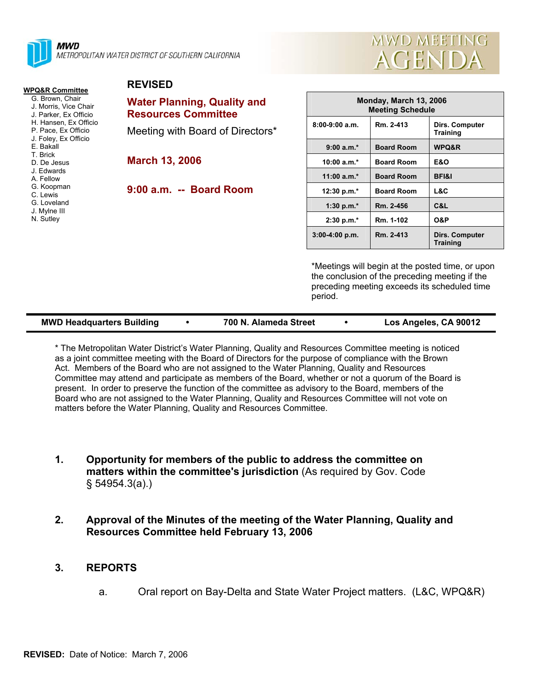

| <b>MWD MEETING</b> |  |
|--------------------|--|
| AGENDA             |  |

#### **WPQ&R Committee**

- G. Brown, Chair
- J. Morris, Vice Chair
- J. Parker, Ex Officio H. Hansen, Ex Officio
- P. Pace, Ex Officio
- J. Foley, Ex Officio
- E. Bakall
- T. Brick D. De Jesus
- J. Edwards
- A. Fellow
- G. Koopman
- C. Lewis
- G. Loveland
- J. Mylne III
- N. Sutley

## **REVISED**

# **Water Planning, Quality and Resources Committee**

Meeting with Board of Directors\*

**March 13, 2006** 

**9:00 a.m. -- Board Room** 

| Monday, March 13, 2006<br><b>Meeting Schedule</b> |                   |                                   |
|---------------------------------------------------|-------------------|-----------------------------------|
| $8:00-9:00$ a.m.                                  | Rm. 2-413         | Dirs. Computer<br><b>Training</b> |
| $9:00 a.m.*$                                      | <b>Board Room</b> | <b>WPQ&amp;R</b>                  |
| 10:00 $a.m.*$                                     | <b>Board Room</b> | E&O                               |
| 11:00 $a.m.*$                                     | <b>Board Room</b> | <b>BFI&amp;I</b>                  |
| 12:30 p.m. $*$                                    | <b>Board Room</b> | L&C                               |
| 1:30 p.m. $*$                                     | Rm. 2-456         | C&L                               |
| $2:30 p.m.*$                                      | Rm. 1-102         | <b>O&amp;P</b>                    |
| $3:00-4:00 p.m.$                                  | Rm. 2-413         | Dirs. Computer<br><b>Training</b> |

\*Meetings will begin at the posted time, or upon the conclusion of the preceding meeting if the preceding meeting exceeds its scheduled time period.

| <b>MWD Headquarters Building</b><br>Los Angeles, CA 90012<br>700 N. Alameda Street |  |
|------------------------------------------------------------------------------------|--|
|------------------------------------------------------------------------------------|--|

\* The Metropolitan Water District's Water Planning, Quality and Resources Committee meeting is noticed as a joint committee meeting with the Board of Directors for the purpose of compliance with the Brown Act. Members of the Board who are not assigned to the Water Planning, Quality and Resources Committee may attend and participate as members of the Board, whether or not a quorum of the Board is present. In order to preserve the function of the committee as advisory to the Board, members of the Board who are not assigned to the Water Planning, Quality and Resources Committee will not vote on matters before the Water Planning, Quality and Resources Committee.

- **1. Opportunity for members of the public to address the committee on matters within the committee's jurisdiction** (As required by Gov. Code § 54954.3(a).)
- **2. Approval of the Minutes of the meeting of the Water Planning, Quality and Resources Committee held February 13, 2006**

### **3. REPORTS**

a. Oral report on Bay-Delta and State Water Project matters. (L&C, WPQ&R)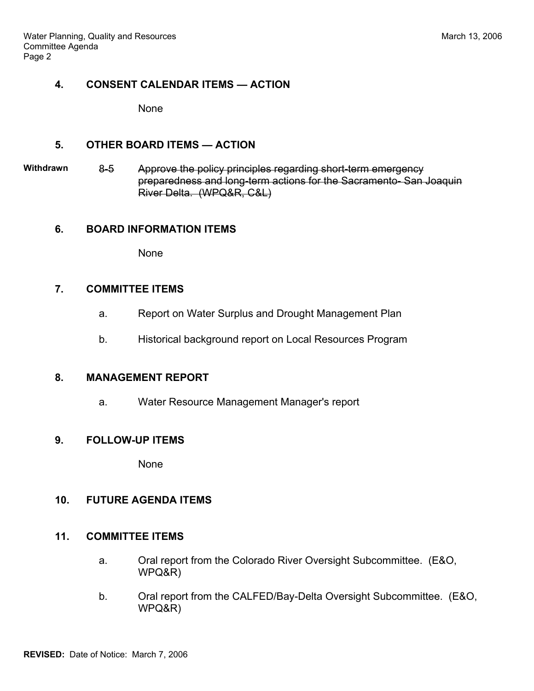#### **4. CONSENT CALENDAR ITEMS — ACTION**

None

#### **5. OTHER BOARD ITEMS — ACTION**

**Withdrawn** 8-5 Approve the policy principles regarding short-term emergency preparedness and long-term actions for the Sacramento- San Joaquin River Delta. (WPQ&R, C&L)

### **6. BOARD INFORMATION ITEMS**

None

#### **7. COMMITTEE ITEMS**

- a. Report on Water Surplus and Drought Management Plan
- b. Historical background report on Local Resources Program

### **8. MANAGEMENT REPORT**

a. Water Resource Management Manager's report

### **9. FOLLOW-UP ITEMS**

None

### **10. FUTURE AGENDA ITEMS**

### **11. COMMITTEE ITEMS**

- a. Oral report from the Colorado River Oversight Subcommittee. (E&O, WPQ&R)
- b. Oral report from the CALFED/Bay-Delta Oversight Subcommittee. (E&O, WPQ&R)